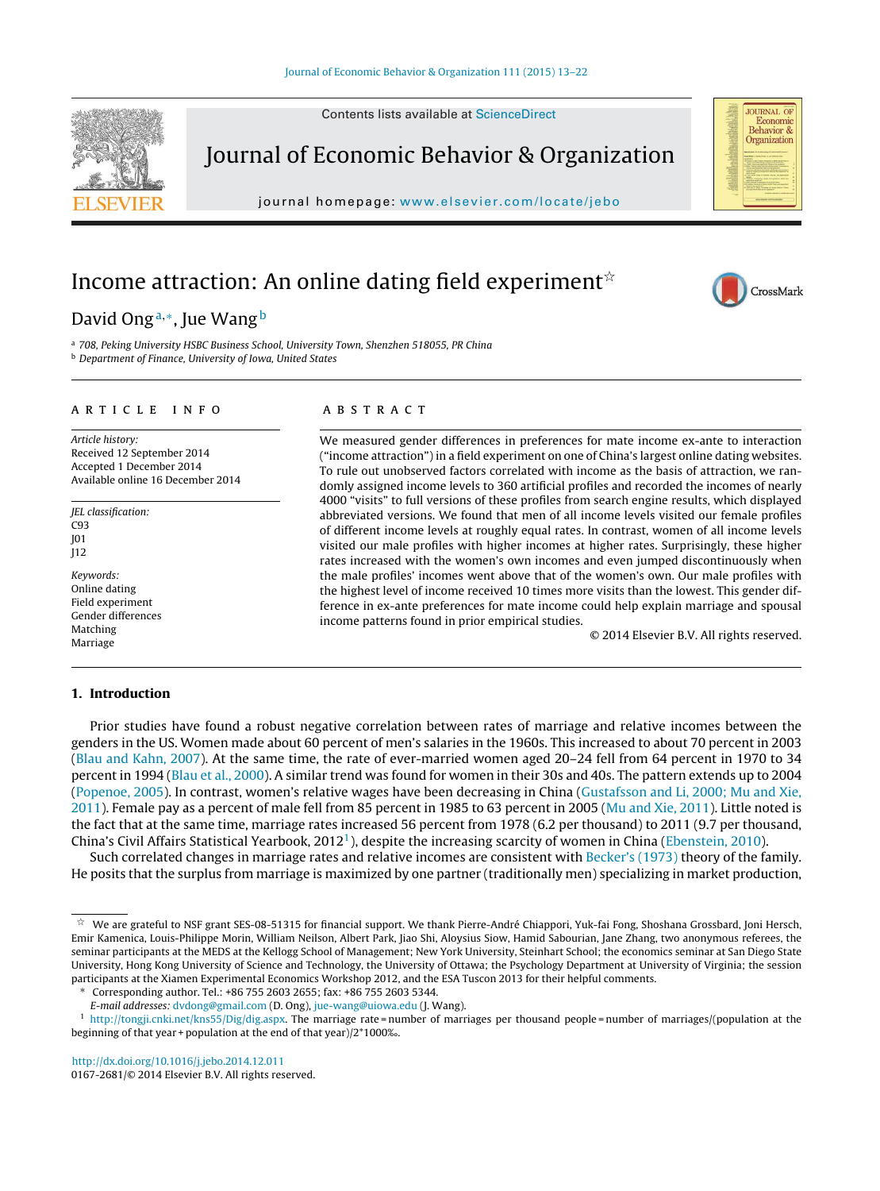Contents lists available at [ScienceDirect](http://www.sciencedirect.com/science/journal/01672681)



Journal of Economic Behavior & Organization

journal homepage: [www.elsevier.com/locate/jebo](http://www.elsevier.com/locate/jebo)

# Income attraction: An online dating field experiment $\mathring{\mathbf{r}}$

# David Ongª,\*, Jue Wang<sup>b</sup>

a 708, Peking University HSBC Business School, University Town, Shenzhen 518055, PR China **b** Department of Finance, University of Iowa, United States

#### a r t i c l e i n f o

Article history: Received 12 September 2014 Accepted 1 December 2014 Available online 16 December 2014

JEL classification: C93 J01 J12

Keywords: Online dating Field experiment Gender differences Matching Marriage

## 1. Introduction

## a b s t r a c t

We measured gender differences in preferences for mate income ex-ante to interaction ("income attraction") in a field experiment on one of China's largest online dating websites. To rule out unobserved factors correlated with income as the basis of attraction, we randomly assigned income levels to 360 artificial profiles and recorded the incomes of nearly 4000 "visits" to full versions of these profiles from search engine results, which displayed abbreviated versions. We found that men of all income levels visited our female profiles of different income levels at roughly equal rates. In contrast, women of all income levels visited our male profiles with higher incomes at higher rates. Surprisingly, these higher rates increased with the women's own incomes and even jumped discontinuously when the male profiles' incomes went above that of the women's own. Our male profiles with the highest level of income received 10 times more visits than the lowest. This gender difference in ex-ante preferences for mate income could help explain marriage and spousal income patterns found in prior empirical studies.

© 2014 Elsevier B.V. All rights reserved.

Prior studies have found a robust negative correlation between rates of marriage and relative incomes between the genders in the US. Women made about 60 percent of men's salaries in the 1960s. This increased to about 70 percent in 2003 [\(Blau](#page-9-0) [and](#page-9-0) [Kahn,](#page-9-0) [2007\).](#page-9-0) At the same time, the rate of ever-married women aged 20–24 fell from 64 percent in 1970 to 34 percent in 1994 ([Blau](#page-9-0) et [al.,](#page-9-0) [2000\).](#page-9-0) A similar trend was found for women in their 30s and 40s. The pattern extends up to 2004 [\(Popenoe,](#page-9-0) [2005\).](#page-9-0) In contrast, women's relative wages have been decreasing in China ([Gustafsson](#page-9-0) [and](#page-9-0) [Li,](#page-9-0) [2000;](#page-9-0) [Mu](#page-9-0) [and](#page-9-0) [Xie,](#page-9-0) [2011\).](#page-9-0) Female pay as a percent of male fell from 85 percent in 1985 to 63 percent in 2005 [\(Mu](#page-9-0) [and](#page-9-0) [Xie,](#page-9-0) [2011\).](#page-9-0) Little noted is the fact that at the same time, marriage rates increased 56 percent from 1978 (6.2 per thousand) to 2011 (9.7 per thousand, China's Civil Affairs Statistical Yearbook, 2012<sup>1</sup>), despite the increasing scarcity of women in China ([Ebenstein,](#page-9-0) [2010\).](#page-9-0)

Such correlated changes in marriage rates and relative incomes are consistent with [Becker's](#page-9-0) [\(1973\)](#page-9-0) theory of the family. He posits that the surplus from marriage is maximized by one partner (traditionally men) specializing in market production,

∗ Corresponding author. Tel.: +86 755 2603 2655; fax: +86 755 2603 5344.

[http://dx.doi.org/10.1016/j.jebo.2014.12.011](dx.doi.org/10.1016/j.jebo.2014.12.011) 0167-2681/© 2014 Elsevier B.V. All rights reserved.



CrossMark

 $^\star$  We are grateful to NSF grant SES-08-51315 for financial support. We thank Pierre-André Chiappori, Yuk-fai Fong, Shoshana Grossbard, Joni Hersch, Emir Kamenica, Louis-Philippe Morin, William Neilson, Albert Park, Jiao Shi, Aloysius Siow, Hamid Sabourian, Jane Zhang, two anonymous referees, the seminar participants at the MEDS at the Kellogg School of Management; New York University, Steinhart School; the economics seminar at San Diego State University, Hong Kong University of Science and Technology, the University of Ottawa; the Psychology Department at University of Virginia; the session participants at the Xiamen Experimental Economics Workshop 2012, and the ESA Tuscon 2013 for their helpful comments.

E-mail addresses: [dvdong@gmail.com](mailto:dvdong@gmail.com) (D. Ong), [jue-wang@uiowa.edu](mailto:jue-wang@uiowa.edu) (J. Wang).

<sup>1</sup> <http://tongji.cnki.net/kns55/Dig/dig.aspx>. The marriage rate = number of marriages per thousand people = number of marriages/(population at the beginning of that year + population at the end of that year)/2\*1000‰.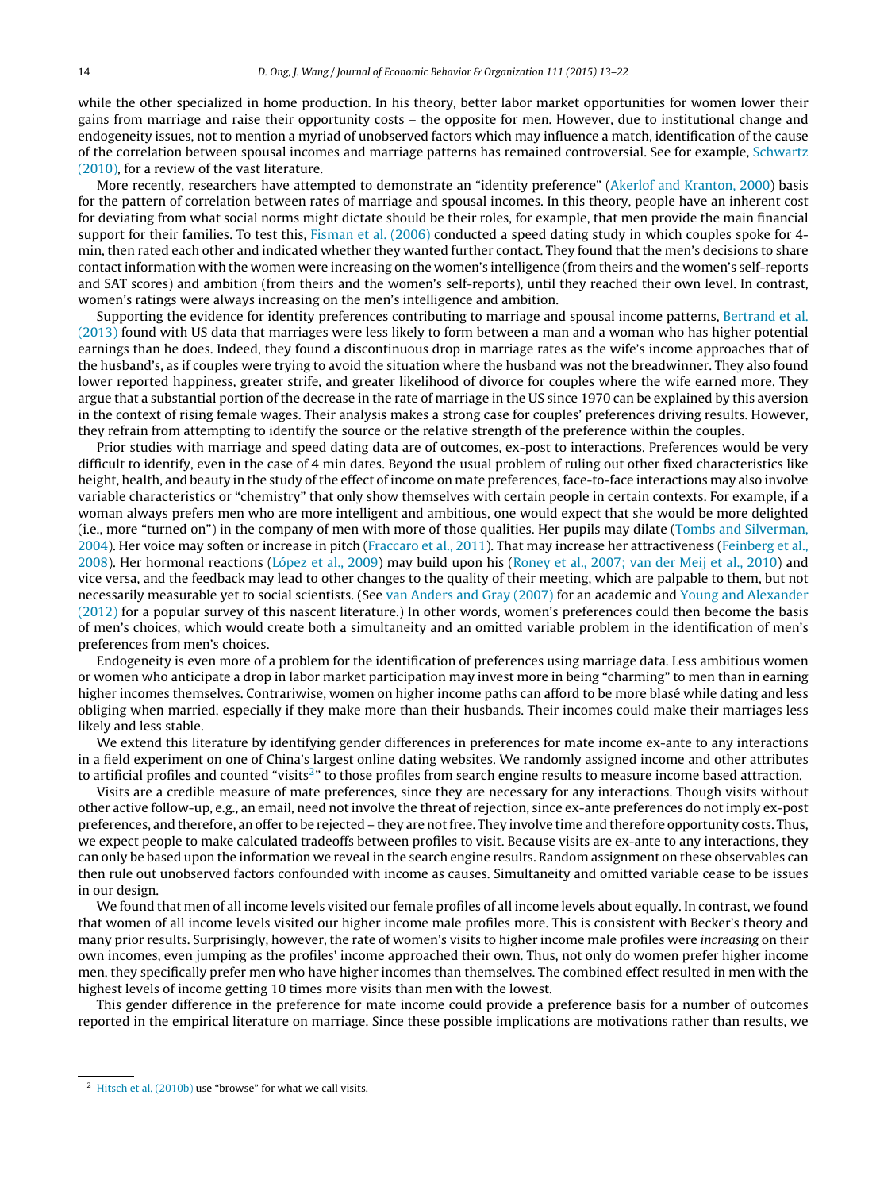while the other specialized in home production. In his theory, better labor market opportunities for women lower their gains from marriage and raise their opportunity costs – the opposite for men. However, due to institutional change and endogeneity issues, not to mention a myriad of unobserved factors which may influence a match, identification of the cause of the correlation between spousal incomes and marriage patterns has remained controversial. See for example, [Schwartz](#page-9-0) [\(2010\),](#page-9-0) for a review of the vast literature.

More recently, researchers have attempted to demonstrate an "identity preference" [\(Akerlof](#page-8-0) [and](#page-8-0) [Kranton,](#page-8-0) [2000\)](#page-8-0) basis for the pattern of correlation between rates of marriage and spousal incomes. In this theory, people have an inherent cost for deviating from what social norms might dictate should be their roles, for example, that men provide the main financial support for their families. To test this, [Fisman](#page-9-0) et [al.](#page-9-0) [\(2006\)](#page-9-0) conducted a speed dating study in which couples spoke for 4min, then rated each other and indicated whether they wanted further contact. They found that the men's decisions to share contactinformation with the women were increasing on the women's intelligence (from theirs and the women's self-reports and SAT scores) and ambition (from theirs and the women's self-reports), until they reached their own level. In contrast, women's ratings were always increasing on the men's intelligence and ambition.

Supporting the evidence for identity preferences contributing to marriage and spousal income patterns, [Bertrand](#page-9-0) et [al.](#page-9-0) [\(2013\)](#page-9-0) found with US data that marriages were less likely to form between a man and a woman who has higher potential earnings than he does. Indeed, they found a discontinuous drop in marriage rates as the wife's income approaches that of the husband's, as if couples were trying to avoid the situation where the husband was not the breadwinner. They also found lower reported happiness, greater strife, and greater likelihood of divorce for couples where the wife earned more. They argue that a substantial portion of the decrease in the rate of marriage in the US since 1970 can be explained by this aversion in the context of rising female wages. Their analysis makes a strong case for couples' preferences driving results. However, they refrain from attempting to identify the source or the relative strength of the preference within the couples.

Prior studies with marriage and speed dating data are of outcomes, ex-post to interactions. Preferences would be very difficult to identify, even in the case of 4 min dates. Beyond the usual problem of ruling out other fixed characteristics like height, health, and beauty in the study ofthe effect of income on mate preferences, face-to-face interactions may also involve variable characteristics or "chemistry" that only show themselves with certain people in certain contexts. For example, if a woman always prefers men who are more intelligent and ambitious, one would expect that she would be more delighted (i.e., more "turned on") in the company of men with more of those qualities. Her pupils may dilate ([Tombs](#page-9-0) [and](#page-9-0) [Silverman,](#page-9-0) [2004\).](#page-9-0) Her voice may soften or increase in pitch [\(Fraccaro](#page-9-0) et [al.,](#page-9-0) [2011\).](#page-9-0) That may increase her attractiveness [\(Feinberg](#page-9-0) et [al.,](#page-9-0) [2008\).](#page-9-0) Her hormonal reactions [\(López](#page-9-0) et [al.,](#page-9-0) [2009\)](#page-9-0) may build upon his [\(Roney](#page-9-0) et [al.,](#page-9-0) [2007;](#page-9-0) [van](#page-9-0) [der](#page-9-0) [Meij](#page-9-0) et [al.,](#page-9-0) [2010\)](#page-9-0) and vice versa, and the feedback may lead to other changes to the quality of their meeting, which are palpable to them, but not necessarily measurable yet to social scientists. (See [van](#page-9-0) [Anders](#page-9-0) [and](#page-9-0) [Gray](#page-9-0) [\(2007\)](#page-9-0) for an academic and [Young](#page-9-0) [and](#page-9-0) [Alexander](#page-9-0) [\(2012\)](#page-9-0) for a popular survey of this nascent literature.) In other words, women's preferences could then become the basis of men's choices, which would create both a simultaneity and an omitted variable problem in the identification of men's preferences from men's choices.

Endogeneity is even more of a problem for the identification of preferences using marriage data. Less ambitious women or women who anticipate a drop in labor market participation may invest more in being "charming" to men than in earning higher incomes themselves. Contrariwise, women on higher income paths can afford to be more blasé while dating and less obliging when married, especially if they make more than their husbands. Their incomes could make their marriages less likely and less stable.

We extend this literature by identifying gender differences in preferences for mate income ex-ante to any interactions in a field experiment on one of China's largest online dating websites. We randomly assigned income and other attributes to artificial profiles and counted "visits<sup>2</sup>" to those profiles from search engine results to measure income based attraction.

Visits are a credible measure of mate preferences, since they are necessary for any interactions. Though visits without other active follow-up, e.g., an email, need not involve the threat of rejection, since ex-ante preferences do not imply ex-post preferences, and therefore, an offer to be rejected – they are notfree. They involve time and therefore opportunity costs. Thus, we expect people to make calculated tradeoffs between profiles to visit. Because visits are ex-ante to any interactions, they can only be based upon the information we reveal in the search engine results. Random assignment on these observables can then rule out unobserved factors confounded with income as causes. Simultaneity and omitted variable cease to be issues in our design.

We found that men of all income levels visited our female profiles of all income levels about equally. In contrast, we found that women of all income levels visited our higher income male profiles more. This is consistent with Becker's theory and many prior results. Surprisingly, however, the rate of women's visits to higher income male profiles were increasing on their own incomes, even jumping as the profiles' income approached their own. Thus, not only do women prefer higher income men, they specifically prefer men who have higher incomes than themselves. The combined effect resulted in men with the highest levels of income getting 10 times more visits than men with the lowest.

This gender difference in the preference for mate income could provide a preference basis for a number of outcomes reported in the empirical literature on marriage. Since these possible implications are motivations rather than results, we

<sup>&</sup>lt;sup>2</sup> [Hitsch](#page-9-0) et [al.](#page-9-0) [\(2010b\)](#page-9-0) use "browse" for what we call visits.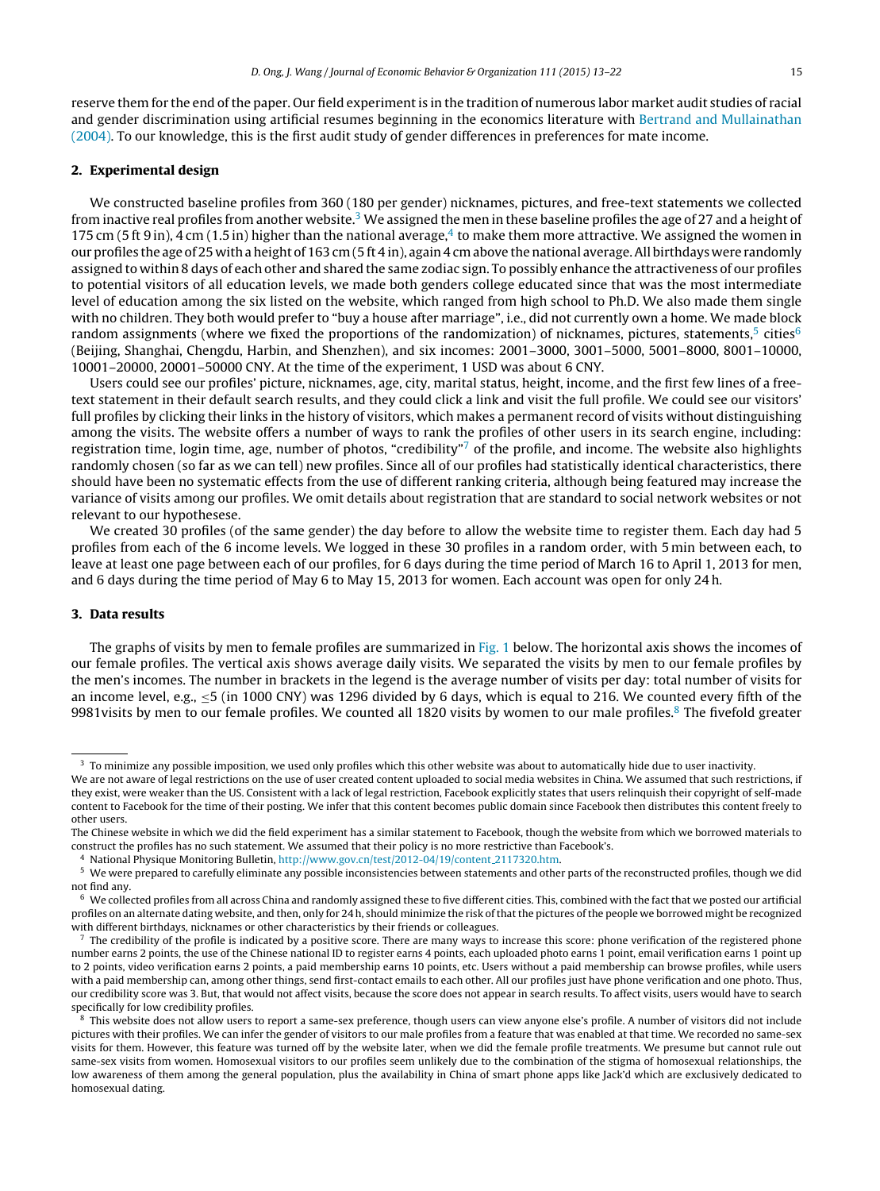reserve them for the end ofthe paper. Our field experimentis in the tradition of numerous labor market audit studies of racial and gender discrimination using artificial resumes beginning in the economics literature with [Bertrand](#page-9-0) [and](#page-9-0) [Mullainathan](#page-9-0) [\(2004\).](#page-9-0) To our knowledge, this is the first audit study of gender differences in preferences for mate income.

#### 2. Experimental design

We constructed baseline profiles from 360 (180 per gender) nicknames, pictures, and free-text statements we collected from inactive real profiles from another website.<sup>3</sup> We assigned the men in these baseline profiles the age of 27 and a height of 175 cm (5 ft 9 in), 4 cm (1.5 in) higher than the national average, $^4$  to make them more attractive. We assigned the women in our profiles the age of 25 with a height of 163 cm (5 ft 4 in), again 4 cm above the national average. All birthdays were randomly assigned to within 8 days of each other and shared the same zodiac sign. To possibly enhance the attractiveness of our profiles to potential visitors of all education levels, we made both genders college educated since that was the most intermediate level of education among the six listed on the website, which ranged from high school to Ph.D. We also made them single with no children. They both would prefer to "buy a house after marriage", i.e., did not currently own a home. We made block random assignments (where we fixed the proportions of the randomization) of nicknames, pictures, statements, $5$  cities $6$ (Beijing, Shanghai, Chengdu, Harbin, and Shenzhen), and six incomes: 2001–3000, 3001–5000, 5001–8000, 8001–10000, 10001–20000, 20001–50000 CNY. At the time of the experiment, 1 USD was about 6 CNY.

Users could see our profiles' picture, nicknames, age, city, marital status, height, income, and the first few lines of a freetext statement in their default search results, and they could click a link and visit the full profile. We could see our visitors' full profiles by clicking their links in the history of visitors, which makes a permanent record of visits without distinguishing among the visits. The website offers a number of ways to rank the profiles of other users in its search engine, including: registration time, login time, age, number of photos, "credibility"<sup>7</sup> of the profile, and income. The website also highlights randomly chosen (so far as we can tell) new profiles. Since all of our profiles had statistically identical characteristics, there should have been no systematic effects from the use of different ranking criteria, although being featured may increase the variance of visits among our profiles. We omit details about registration that are standard to social network websites or not relevant to our hypothesese.

We created 30 profiles (of the same gender) the day before to allow the website time to register them. Each day had 5 profiles from each of the 6 income levels. We logged in these 30 profiles in a random order, with 5 min between each, to leave at least one page between each of our profiles, for 6 days during the time period of March 16 to April 1, 2013 for men, and 6 days during the time period of May 6 to May 15, 2013 for women. Each account was open for only 24 h.

#### 3. Data results

The graphs of visits by men to female profiles are summarized in [Fig.](#page-3-0) 1 below. The horizontal axis shows the incomes of our female profiles. The vertical axis shows average daily visits. We separated the visits by men to our female profiles by the men's incomes. The number in brackets in the legend is the average number of visits per day: total number of visits for an income level, e.g.,  $\leq$  5 (in 1000 CNY) was 1296 divided by 6 days, which is equal to 216. We counted every fifth of the 9981visits by men to our female profiles. We counted all 1820 visits by women to our male profiles. $8$  The fivefold greater

<sup>4</sup> National Physique Monitoring Bulletin, [http://www.gov.cn/test/2012-04/19/content](http://www.gov.cn/test/2012-04/19/content_2117320.htm) 2117320.htm.

<sup>&</sup>lt;sup>3</sup> To minimize any possible imposition, we used only profiles which this other website was about to automatically hide due to user inactivity.

We are not aware of legal restrictions on the use of user created content uploaded to social media websites in China. We assumed that such restrictions, if they exist, were weaker than the US. Consistent with a lack of legal restriction, Facebook explicitly states that users relinquish their copyright of self-made content to Facebook for the time of their posting. We infer that this content becomes public domain since Facebook then distributes this content freely to other users.

The Chinese website in which we did the field experiment has a similar statement to Facebook, though the website from which we borrowed materials to construct the profiles has no such statement. We assumed that their policy is no more restrictive than Facebook's.

<sup>5</sup> We were prepared to carefully eliminate any possible inconsistencies between statements and other parts of the reconstructed profiles, though we did not find any.

 $6\,$  We collected profiles from all across China and randomly assigned these to five different cities. This, combined with the fact that we posted our artificial profiles on an alternate dating website, and then, only for 24 h, should minimize the risk of that the pictures of the people we borrowed might be recognized with different birthdays, nicknames or other characteristics by their friends or colleagues.

 $^7$  The credibility of the profile is indicated by a positive score. There are many ways to increase this score: phone verification of the registered phone number earns 2 points, the use of the Chinese national ID to register earns 4 points, each uploaded photo earns 1 point, email verification earns 1 point up to 2 points, video verification earns 2 points, a paid membership earns 10 points, etc. Users without a paid membership can browse profiles, while users with a paid membership can, among other things, send first-contact emails to each other. All our profiles just have phone verification and one photo. Thus, our credibility score was 3. But, that would not affect visits, because the score does not appear in search results. To affect visits, users would have to search specifically for low credibility profiles.

<sup>8</sup> This website does not allow users to report a same-sex preference, though users can view anyone else's profile. A number of visitors did not include pictures with their profiles. We can infer the gender of visitors to our male profiles from a feature that was enabled at that time. We recorded no same-sex visits for them. However, this feature was turned off by the website later, when we did the female profile treatments. We presume but cannot rule out same-sex visits from women. Homosexual visitors to our profiles seem unlikely due to the combination of the stigma of homosexual relationships, the low awareness of them among the general population, plus the availability in China of smart phone apps like Jack'd which are exclusively dedicated to homosexual dating.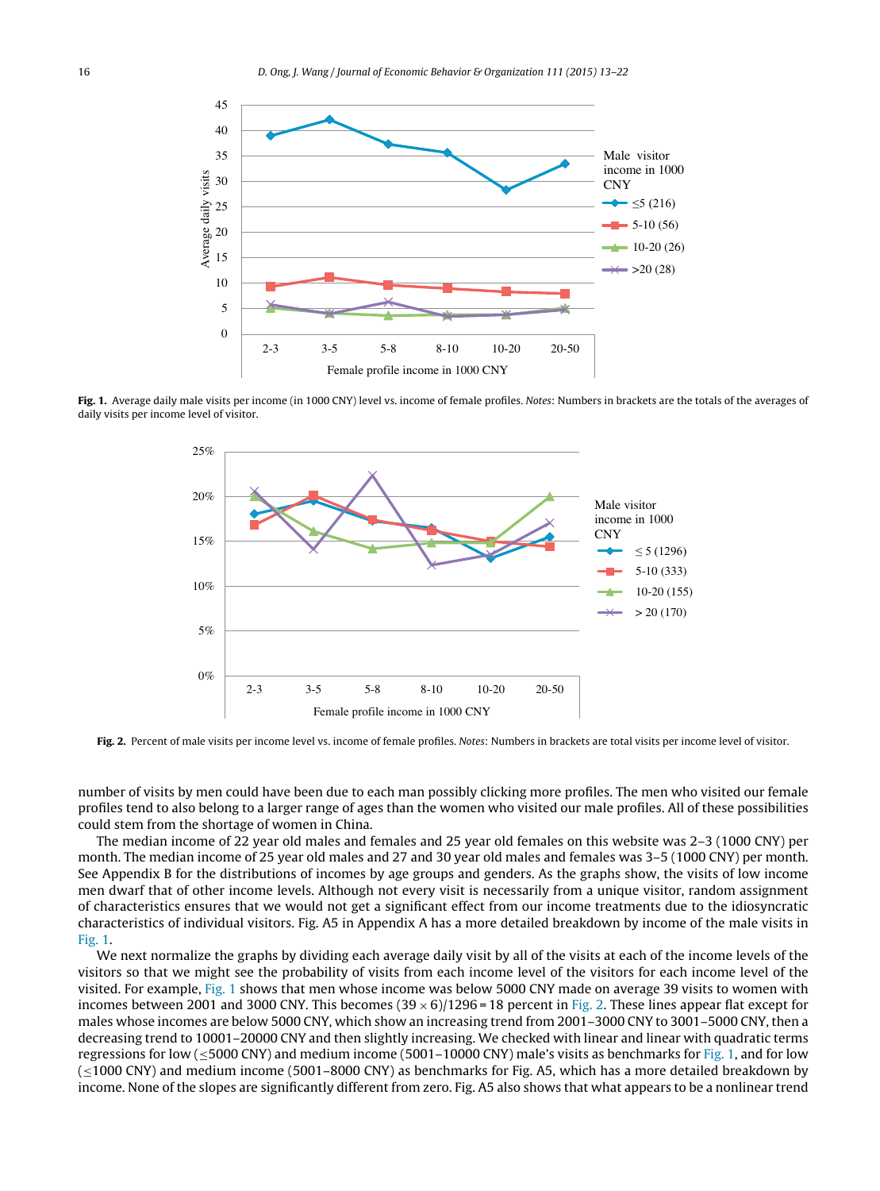<span id="page-3-0"></span>

Fig. 1. Average daily male visits per income (in 1000 CNY) level vs. income of female profiles. Notes: Numbers in brackets are the totals of the averages of daily visits per income level of visitor.



Fig. 2. Percent of male visits per income level vs. income of female profiles. Notes: Numbers in brackets are total visits per income level of visitor.

number of visits by men could have been due to each man possibly clicking more profiles. The men who visited our female profiles tend to also belong to a larger range of ages than the women who visited our male profiles. All of these possibilities could stem from the shortage of women in China.

The median income of 22 year old males and females and 25 year old females on this website was 2–3 (1000 CNY) per month. The median income of 25 year old males and 27 and 30 year old males and females was 3–5 (1000 CNY) per month. See Appendix B for the distributions of incomes by age groups and genders. As the graphs show, the visits of low income men dwarf that of other income levels. Although not every visit is necessarily from a unique visitor, random assignment of characteristics ensures that we would not get a significant effect from our income treatments due to the idiosyncratic characteristics of individual visitors. Fig. A5 in Appendix A has a more detailed breakdown by income of the male visits in Fig. 1.

We next normalize the graphs by dividing each average daily visit by all of the visits at each of the income levels of the visitors so that we might see the probability of visits from each income level of the visitors for each income level of the visited. For example, Fig. 1 shows that men whose income was below 5000 CNY made on average 39 visits to women with incomes between 2001 and 3000 CNY. This becomes  $(39 \times 6)/1296 = 18$  percent in Fig. 2. These lines appear flat except for males whose incomes are below 5000 CNY, which show an increasing trend from 2001–3000 CNY to 3001–5000 CNY, then a decreasing trend to 10001–20000 CNY and then slightly increasing. We checked with linear and linear with quadratic terms regressions for low ( $\leq$ 5000 CNY) and medium income (5001–10000 CNY) male's visits as benchmarks for Fig. 1, and for low (≤1000 CNY) and medium income (5001–8000 CNY) as benchmarks for Fig. A5, which has a more detailed breakdown by income. None of the slopes are significantly different from zero. Fig. A5 also shows that what appears to be a nonlinear trend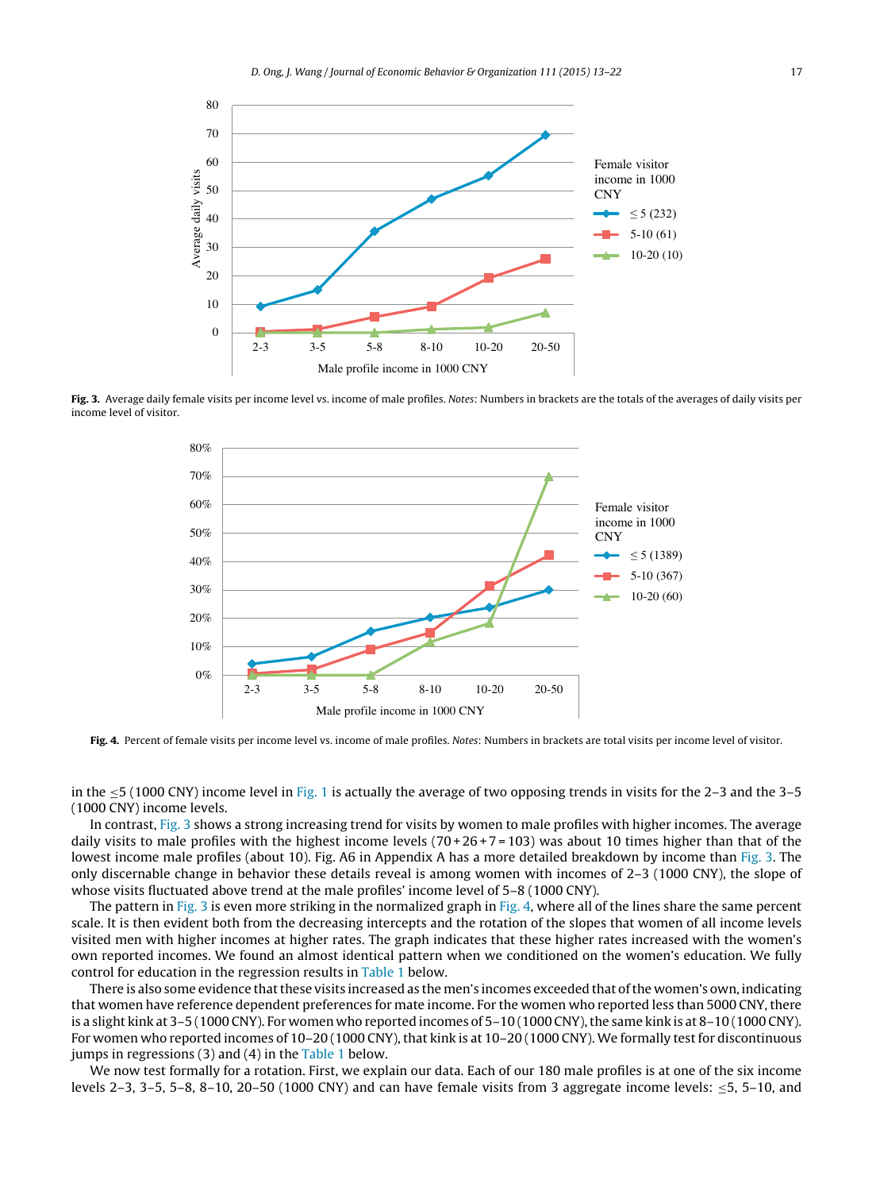<span id="page-4-0"></span>

Fig. 3. Average daily female visits per income level vs. income of male profiles. Notes: Numbers in brackets are the totals of the averages of daily visits per income level of visitor.



Fig. 4. Percent of female visits per income level vs. income of male profiles. Notes: Numbers in brackets are total visits per income level of visitor.

in the  $\leq$ 5 (1000 CNY) income level in [Fig.](#page-3-0) 1 is actually the average of two opposing trends in visits for the 2–3 and the 3–5 (1000 CNY) income levels.

In contrast, Fig. 3 shows a strong increasing trend for visits by women to male profiles with higher incomes. The average daily visits to male profiles with the highest income levels  $(70+26+7=103)$  was about 10 times higher than that of the lowest income male profiles (about 10). Fig. A6 in Appendix A has a more detailed breakdown by income than Fig. 3. The only discernable change in behavior these details reveal is among women with incomes of 2–3 (1000 CNY), the slope of whose visits fluctuated above trend at the male profiles' income level of 5–8 (1000 CNY).

The pattern in Fig. 3 is even more striking in the normalized graph in Fig. 4, where all of the lines share the same percent scale. It is then evident both from the decreasing intercepts and the rotation of the slopes that women of all income levels visited men with higher incomes at higher rates. The graph indicates that these higher rates increased with the women's own reported incomes. We found an almost identical pattern when we conditioned on the women's education. We fully control for education in the regression results in [Table](#page-5-0) 1 below.

There is also some evidence that these visits increased as the men's incomes exceeded that of the women's own, indicating that women have reference dependent preferences for mate income. For the women who reported less than 5000 CNY, there is a slight kink at  $3-5$  (1000 CNY). For women who reported incomes of  $5-10$  (1000 CNY), the same kink is at  $8-10$  (1000 CNY). For women who reported incomes of  $10-20$  (1000 CNY), that kink is at  $10-20$  (1000 CNY). We formally test for discontinuous jumps in regressions  $(3)$  and  $(4)$  in the [Table](#page-5-0) 1 below.

We now test formally for a rotation. First, we explain our data. Each of our 180 male profiles is at one of the six income levels 2–3, 3–5, 5–8, 8–10, 20–50 (1000 CNY) and can have female visits from 3 aggregate income levels: ≤5, 5–10, and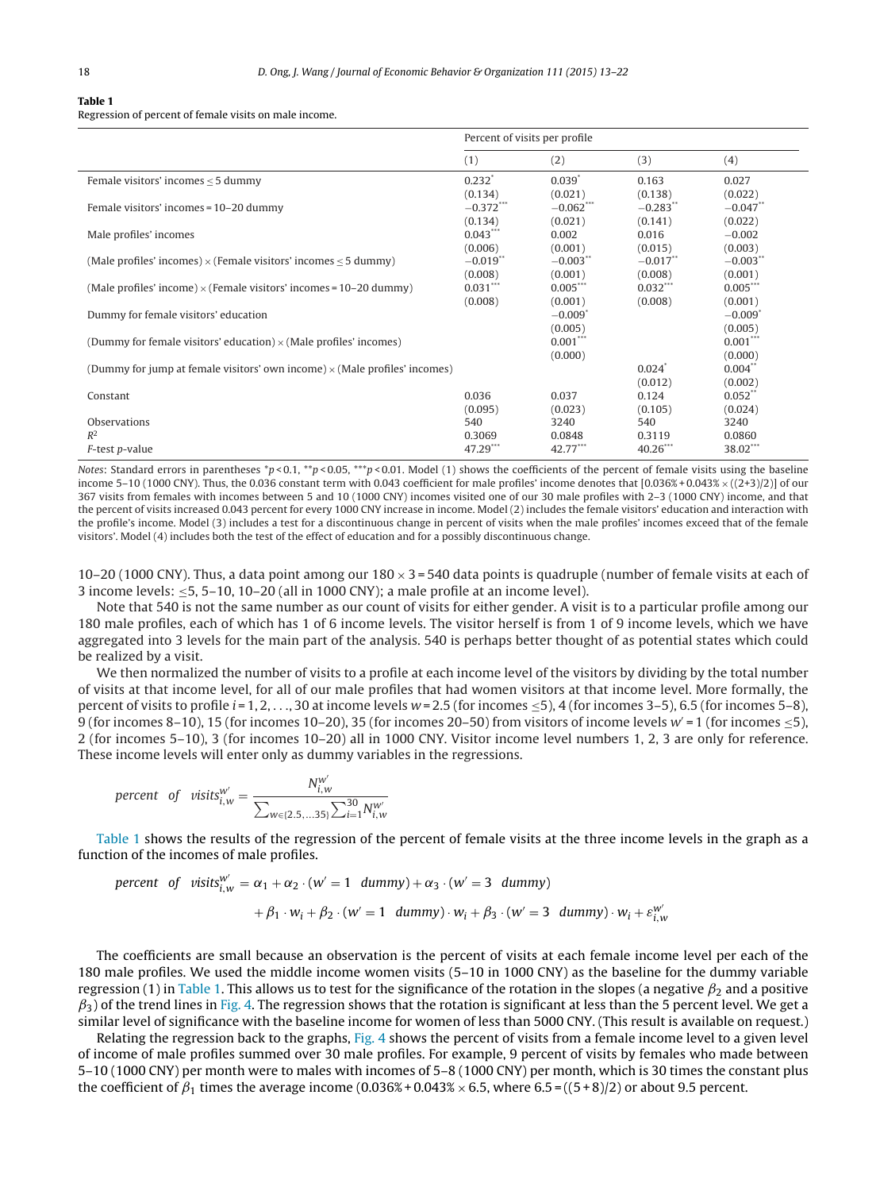#### <span id="page-5-0"></span>Table 1

Regression of percent of female visits on male income.

|                                                                                   | Percent of visits per profile |                       |             |                       |
|-----------------------------------------------------------------------------------|-------------------------------|-----------------------|-------------|-----------------------|
|                                                                                   | (1)                           | (2)                   | (3)         | (4)                   |
| Female visitors' incomes $\leq$ 5 dummy                                           | $0.232*$                      | $0.039*$              | 0.163       | 0.027                 |
|                                                                                   | (0.134)                       | (0.021)               | (0.138)     | (0.022)               |
| Female visitors' incomes = 10-20 dummy                                            | $-0.372***$                   | $-0.062***$           | $-0.283**$  | $-0.047**$            |
|                                                                                   | (0.134)                       | (0.021)               | (0.141)     | (0.022)               |
| Male profiles' incomes                                                            | $0.043***$                    | 0.002                 | 0.016       | $-0.002$              |
|                                                                                   | (0.006)                       | (0.001)               | (0.015)     | (0.003)               |
| (Male profiles' incomes) $\times$ (Female visitors' incomes $\lt$ 5 dummy)        | $-0.019$ <sup>**</sup>        | $-0.003**$            | $-0.017$ ** | $-0.003**$            |
|                                                                                   | (0.008)                       | (0.001)               | (0.008)     | (0.001)               |
| (Male profiles' income) $\times$ (Female visitors' incomes = 10–20 dummy)         | $0.031***$                    | $0.005***$            | $0.032***$  | $0.005***$            |
|                                                                                   | (0.008)                       | (0.001)               | (0.008)     | (0.001)               |
| Dummy for female visitors' education                                              |                               | $-0.009$ <sup>*</sup> |             | $-0.009$ <sup>*</sup> |
|                                                                                   |                               | (0.005)               |             | (0.005)               |
| (Dummy for female visitors' education) $\times$ (Male profiles' incomes)          |                               | $0.001***$            |             | $0.001***$            |
|                                                                                   |                               | (0.000)               |             | (0.000)               |
| (Dummy for jump at female visitors' own income) $\times$ (Male profiles' incomes) |                               |                       | $0.024*$    | $0.004**$             |
|                                                                                   |                               |                       | (0.012)     | (0.002)               |
| Constant                                                                          | 0.036                         | 0.037                 | 0.124       | $0.052$ **            |
|                                                                                   | (0.095)                       | (0.023)               | (0.105)     | (0.024)               |
| Observations                                                                      | 540                           | 3240                  | 540         | 3240                  |
| $R^2$                                                                             | 0.3069                        | 0.0848                | 0.3119      | 0.0860                |
| F-test p-value                                                                    | $47.29***$                    | $42.77***$            | $40.26***$  | 38.02***              |

Notes: Standard errors in parentheses \*p < 0.1, \*\*p < 0.05, \*\*\*p < 0.01. Model (1) shows the coefficients of the percent of female visits using the baseline income 5–10 (1000 CNY). Thus, the 0.036 constant term with 0.043 coefficient for male profiles' income denotes that  $[0.036\% + 0.043\% \times ((2+3)/2)]$  of our 367 visits from females with incomes between 5 and 10 (1000 CNY) incomes visited one of our 30 male profiles with 2–3 (1000 CNY) income, and that the percent of visits increased 0.043 percent for every 1000 CNY increase in income. Model (2) includes the female visitors' education and interaction with the profile's income. Model (3) includes a test for a discontinuous change in percent of visits when the male profiles' incomes exceed that of the female visitors'. Model (4) includes both the test of the effect of education and for a possibly discontinuous change.

10–20 (1000 CNY). Thus, a data point among our  $180 \times 3 = 540$  data points is quadruple (number of female visits at each of 3 income levels:  $\leq$ 5, 5–10, 10–20 (all in 1000 CNY); a male profile at an income level).

Note that 540 is not the same number as our count of visits for either gender. A visit is to a particular profile among our 180 male profiles, each of which has 1 of 6 income levels. The visitor herself is from 1 of 9 income levels, which we have aggregated into 3 levels for the main part of the analysis. 540 is perhaps better thought of as potential states which could be realized by a visit.

We then normalized the number of visits to a profile at each income level of the visitors by dividing by the total number of visits at that income level, for all of our male profiles that had women visitors at that income level. More formally, the percent of visits to profile  $i = 1, 2, \ldots, 30$  at income levels  $w = 2.5$  (for incomes  $\leq 5$ ), 4 (for incomes 3–5), 6.5 (for incomes 5–8), 9 (for incomes 8–10), 15 (for incomes 10–20), 35 (for incomes 20–50) from visitors of income levels  $w' = 1$  (for incomes  $\le 5$ ), 2 (for incomes 5–10), 3 (for incomes 10–20) all in 1000 CNY. Visitor income level numbers 1, 2, 3 are only for reference. These income levels will enter only as dummy variables in the regressions.

$$
\text{percent of } \text{visits}_{i,w}^{w'} = \frac{N_{i,w}^{w'}}{\sum_{w \in \{2.5, \dots, 35\}} \sum_{i=1}^{30} N_{i,w}^{w'}}
$$

Table 1 shows the results of the regression of the percent of female visits at the three income levels in the graph as a function of the incomes of male profiles.

$$
\begin{aligned}\n\text{percent of } \text{visits}_{i,w}^{w'} &= \alpha_1 + \alpha_2 \cdot (w' = 1 \ \text{dummy}) + \alpha_3 \cdot (w' = 3 \ \text{dummy}) \\
&+ \beta_1 \cdot w_i + \beta_2 \cdot (w' = 1 \ \text{dummy}) \cdot w_i + \beta_3 \cdot (w' = 3 \ \text{dummy}) \cdot w_i + \varepsilon_{i,w}^{w'}\n\end{aligned}
$$

The coefficients are small because an observation is the percent of visits at each female income level per each of the 180 male profiles. We used the middle income women visits (5–10 in 1000 CNY) as the baseline for the dummy variable regression (1) in Table 1. This allows us to test for the significance of the rotation in the slopes (a negative  $\beta_2$  and a positive  $\beta_3$ ) of the trend lines in [Fig.](#page-4-0) 4. The regression shows that the rotation is significant at less than the 5 percent level. We get a similar level of significance with the baseline income for women of less than 5000 CNY. (This result is available on request.)

Relating the regression back to the graphs, [Fig.](#page-4-0) 4 shows the percent of visits from a female income level to a given level of income of male profiles summed over 30 male profiles. For example, 9 percent of visits by females who made between 5–10 (1000 CNY) per month were to males with incomes of 5–8 (1000 CNY) per month, which is 30 times the constant plus the coefficient of  $\beta_1$  times the average income (0.036% + 0.043%  $\times$  6.5, where 6.5 = ((5 + 8)/2) or about 9.5 percent.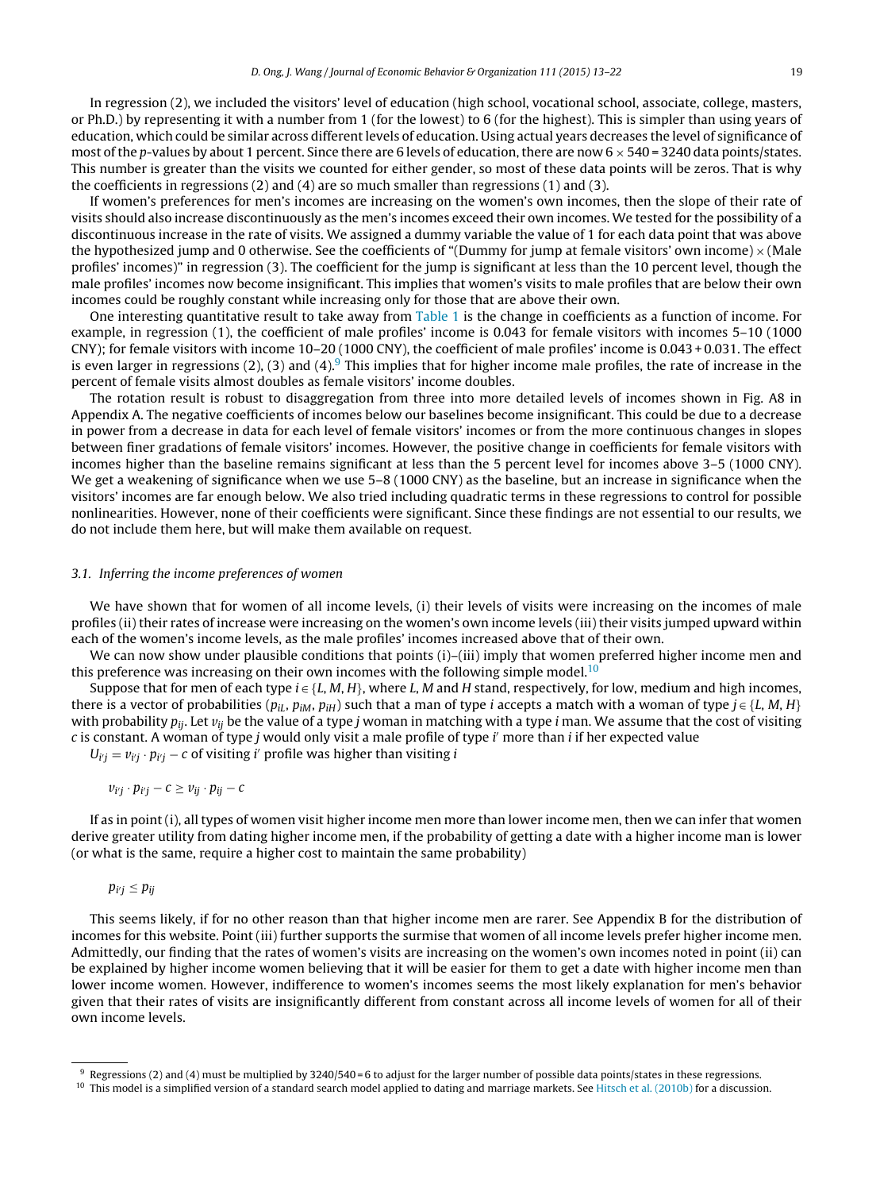In regression (2), we included the visitors' level of education (high school, vocational school, associate, college, masters, or Ph.D.) by representing it with a number from 1 (for the lowest) to 6 (for the highest). This is simpler than using years of education, which could be similar across different levels of education. Using actual years decreases the level of significance of most of the p-values by about 1 percent. Since there are 6 levels of education, there are now  $6 \times 540 = 3240$  data points/states. This number is greater than the visits we counted for either gender, so most of these data points will be zeros. That is why the coefficients in regressions (2) and (4) are so much smaller than regressions (1) and (3).

If women's preferences for men's incomes are increasing on the women's own incomes, then the slope of their rate of visits should also increase discontinuously as the men's incomes exceed their own incomes. We tested for the possibility of a discontinuous increase in the rate of visits. We assigned a dummy variable the value of 1 for each data point that was above the hypothesized jump and 0 otherwise. See the coefficients of "(Dummy for jump at female visitors' own income)  $\times$  (Male profiles' incomes)" in regression (3). The coefficient for the jump is significant at less than the 10 percent level, though the male profiles' incomes now become insignificant. This implies that women's visits to male profiles that are below their own incomes could be roughly constant while increasing only for those that are above their own.

One interesting quantitative result to take away from [Table](#page-5-0) 1 is the change in coefficients as a function of income. For example, in regression (1), the coefficient of male profiles' income is 0.043 for female visitors with incomes 5–10 (1000 CNY); for female visitors with income 10–20 (1000 CNY), the coefficient of male profiles' income is 0.043 + 0.031. The effect is even larger in regressions (2), (3) and (4). This implies that for higher income male profiles, the rate of increase in the percent of female visits almost doubles as female visitors' income doubles.

The rotation result is robust to disaggregation from three into more detailed levels of incomes shown in Fig. A8 in Appendix A. The negative coefficients of incomes below our baselines become insignificant. This could be due to a decrease in power from a decrease in data for each level of female visitors' incomes or from the more continuous changes in slopes between finer gradations of female visitors' incomes. However, the positive change in coefficients for female visitors with incomes higher than the baseline remains significant at less than the 5 percent level for incomes above 3–5 (1000 CNY). We get a weakening of significance when we use 5–8 (1000 CNY) as the baseline, but an increase in significance when the visitors' incomes are far enough below. We also tried including quadratic terms in these regressions to control for possible nonlinearities. However, none of their coefficients were significant. Since these findings are not essential to our results, we do not include them here, but will make them available on request.

#### 3.1. Inferring the income preferences of women

We have shown that for women of all income levels, (i) their levels of visits were increasing on the incomes of male profiles (ii) their rates of increase were increasing on the women's own income levels (iii) their visits jumped upward within each of the women's income levels, as the male profiles' incomes increased above that of their own.

We can now show under plausible conditions that points (i)–(iii) imply that women preferred higher income men and this preference was increasing on their own incomes with the following simple model.<sup>10</sup>

Suppose that for men of each type  $i \in \{L, M, H\}$ , where L, M and H stand, respectively, for low, medium and high incomes, there is a vector of probabilities ( $p_{iL}$ ,  $p_{iM}$ ,  $p_{iH}$ ) such that a man of type *i* accepts a match with a woman of type  $j \in \{L, M, H\}$ with probability  $p_{ii}$ . Let  $v_{ii}$  be the value of a type j woman in matching with a type i man. We assume that the cost of visiting c is constant. A woman of type j would only visit a male profile of type i' more than i if her expected value

 $U_{ij} = v_{ij} \cdot p_{ij} - c$  of visiting i' profile was higher than visiting i

$$
v_{i'j}\cdot p_{i'j}-c\geq v_{ij}\cdot p_{ij}-c
$$

If as in point (i), all types of women visit higher income men more than lower income men, then we can infer that women derive greater utility from dating higher income men, if the probability of getting a date with a higher income man is lower (or what is the same, require a higher cost to maintain the same probability)

 $p_{i'j} \leq p_{ij}$ 

This seems likely, if for no other reason than that higher income men are rarer. See Appendix B for the distribution of incomes for this website. Point (iii) further supports the surmise that women of all income levels prefer higher income men. Admittedly, our finding that the rates of women's visits are increasing on the women's own incomes noted in point (ii) can be explained by higher income women believing that it will be easier for them to get a date with higher income men than lower income women. However, indifference to women's incomes seems the most likely explanation for men's behavior given that their rates of visits are insignificantly different from constant across all income levels of women for all of their own income levels.

 $9$  Regressions (2) and (4) must be multiplied by 3240/540 = 6 to adjust for the larger number of possible data points/states in these regressions.

 $10$  This model is a simplified version of a standard search model applied to dating and marriage markets. See [Hitsch](#page-9-0) et [al.](#page-9-0) [\(2010b\)](#page-9-0) for a discussion.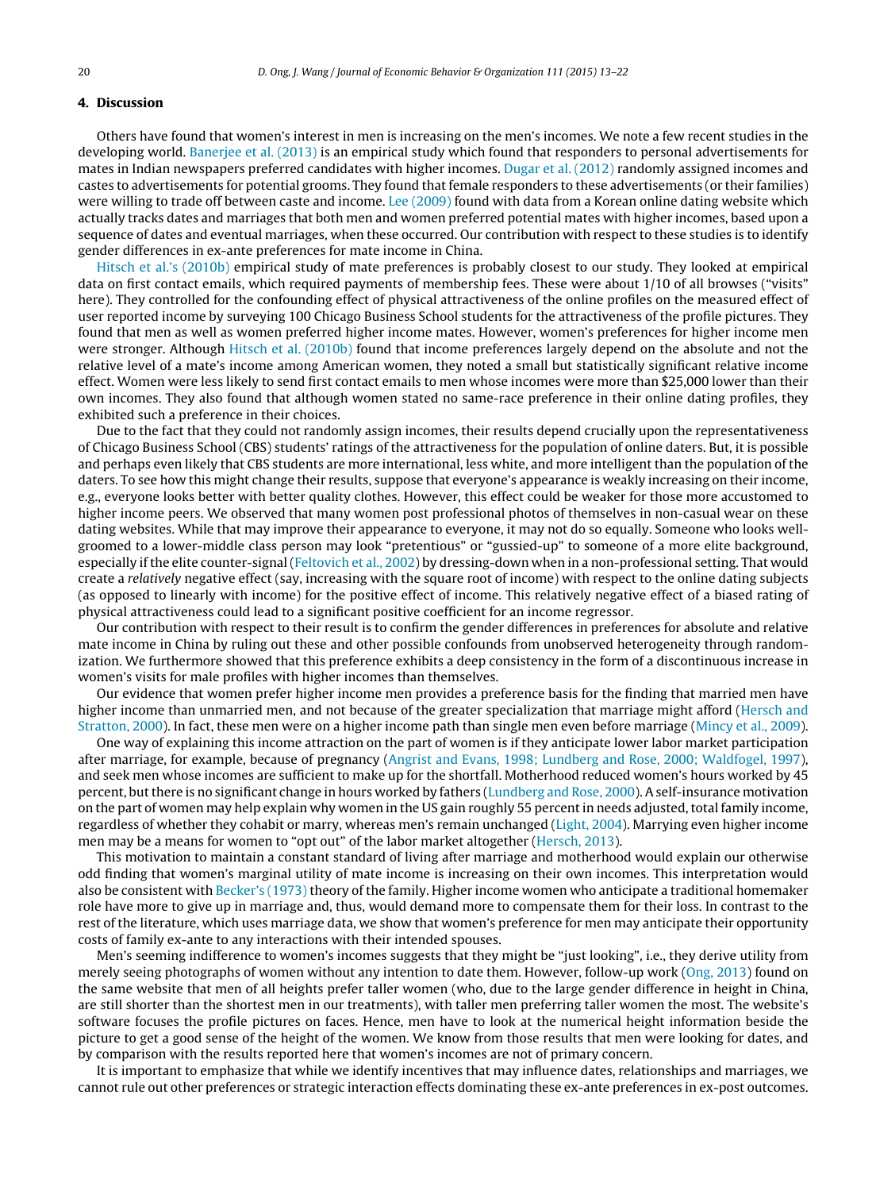#### 4. Discussion

Others have found that women's interest in men is increasing on the men's incomes. We note a few recent studies in the developing world. [Banerjee](#page-9-0) et [al.](#page-9-0) [\(2013\)](#page-9-0) is an empirical study which found that responders to personal advertisements for mates in Indian newspapers preferred candidates with higher incomes. [Dugar](#page-9-0) et [al.](#page-9-0) [\(2012\)](#page-9-0) randomly assigned incomes and castes to advertisements for potential grooms. They found that female responders to these advertisements (or their families) were willing to trade off between caste and income. [Lee](#page-9-0) [\(2009\)](#page-9-0) found with data from a Korean online dating website which actually tracks dates and marriages that both men and women preferred potential mates with higher incomes, based upon a sequence of dates and eventual marriages, when these occurred. Our contribution with respect to these studies is to identify gender differences in ex-ante preferences for mate income in China.

[Hitsch](#page-9-0) et [al.'s](#page-9-0) [\(2010b\)](#page-9-0) empirical study of mate preferences is probably closest to our study. They looked at empirical data on first contact emails, which required payments of membership fees. These were about 1/10 of all browses ("visits" here). They controlled for the confounding effect of physical attractiveness of the online profiles on the measured effect of user reported income by surveying 100 Chicago Business School students for the attractiveness of the profile pictures. They found that men as well as women preferred higher income mates. However, women's preferences for higher income men were stronger. Although [Hitsch](#page-9-0) et [al.](#page-9-0) [\(2010b\)](#page-9-0) found that income preferences largely depend on the absolute and not the relative level of a mate's income among American women, they noted a small but statistically significant relative income effect. Women were less likely to send first contact emails to men whose incomes were more than \$25,000 lower than their own incomes. They also found that although women stated no same-race preference in their online dating profiles, they exhibited such a preference in their choices.

Due to the fact that they could not randomly assign incomes, their results depend crucially upon the representativeness of Chicago Business School (CBS) students' ratings of the attractiveness for the population of online daters. But, it is possible and perhaps even likely that CBS students are more international, less white, and more intelligent than the population of the daters. To see how this might change their results, suppose that everyone's appearance is weakly increasing on their income, e.g., everyone looks better with better quality clothes. However, this effect could be weaker for those more accustomed to higher income peers. We observed that many women post professional photos of themselves in non-casual wear on these dating websites. While that may improve their appearance to everyone, it may not do so equally. Someone who looks wellgroomed to a lower-middle class person may look "pretentious" or "gussied-up" to someone of a more elite background, especially if the elite counter-signal ([Feltovich](#page-9-0) et [al.,](#page-9-0) [2002\)](#page-9-0) by dressing-down when in a non-professional setting. That would create a relatively negative effect (say, increasing with the square root of income) with respect to the online dating subjects (as opposed to linearly with income) for the positive effect of income. This relatively negative effect of a biased rating of physical attractiveness could lead to a significant positive coefficient for an income regressor.

Our contribution with respect to their result is to confirm the gender differences in preferences for absolute and relative mate income in China by ruling out these and other possible confounds from unobserved heterogeneity through randomization. We furthermore showed that this preference exhibits a deep consistency in the form of a discontinuous increase in women's visits for male profiles with higher incomes than themselves.

Our evidence that women prefer higher income men provides a preference basis for the finding that married men have higher income than unmarried men, and not because of the greater specialization that marriage might afford [\(Hersch](#page-9-0) [and](#page-9-0) [Stratton,](#page-9-0) [2000\).](#page-9-0) In fact, these men were on a higher income path than single men even before marriage ([Mincy](#page-9-0) et [al.,](#page-9-0) [2009\).](#page-9-0)

One way of explaining this income attraction on the part of women is if they anticipate lower labor market participation after marriage, for example, because of pregnancy [\(Angrist](#page-8-0) [and](#page-8-0) [Evans,](#page-8-0) [1998;](#page-8-0) [Lundberg](#page-8-0) [and](#page-8-0) [Rose,](#page-8-0) [2000;](#page-8-0) [Waldfogel,](#page-8-0) [1997\),](#page-8-0) and seek men whose incomes are sufficient to make up for the shortfall. Motherhood reduced women's hours worked by 45 percent, but there is no significant change in hours worked by fathers [\(Lundberg](#page-9-0) [and](#page-9-0) [Rose,](#page-9-0) [2000\).](#page-9-0) A self-insurance motivation on the part of women may help explain why women in the US gain roughly 55 percent in needs adjusted, total family income, regardless of whether they cohabit or marry, whereas men's remain unchanged [\(Light,](#page-9-0) [2004\).](#page-9-0) Marrying even higher income men may be a means for women to "opt out" of the labor market altogether ([Hersch,](#page-9-0) [2013\).](#page-9-0)

This motivation to maintain a constant standard of living after marriage and motherhood would explain our otherwise odd finding that women's marginal utility of mate income is increasing on their own incomes. This interpretation would also be consistent with [Becker's](#page-9-0) [\(1973\)](#page-9-0) theory of the family. Higher income women who anticipate a traditional homemaker role have more to give up in marriage and, thus, would demand more to compensate them for their loss. In contrast to the rest of the literature, which uses marriage data, we show that women's preference for men may anticipate their opportunity costs of family ex-ante to any interactions with their intended spouses.

Men's seeming indifference to women's incomes suggests that they might be "just looking", i.e., they derive utility from merely seeing photographs of women without any intention to date them. However, follow-up work ([Ong,](#page-9-0) [2013\)](#page-9-0) found on the same website that men of all heights prefer taller women (who, due to the large gender difference in height in China, are still shorter than the shortest men in our treatments), with taller men preferring taller women the most. The website's software focuses the profile pictures on faces. Hence, men have to look at the numerical height information beside the picture to get a good sense of the height of the women. We know from those results that men were looking for dates, and by comparison with the results reported here that women's incomes are not of primary concern.

It is important to emphasize that while we identify incentives that may influence dates, relationships and marriages, we cannot rule out other preferences or strategic interaction effects dominating these ex-ante preferences in ex-post outcomes.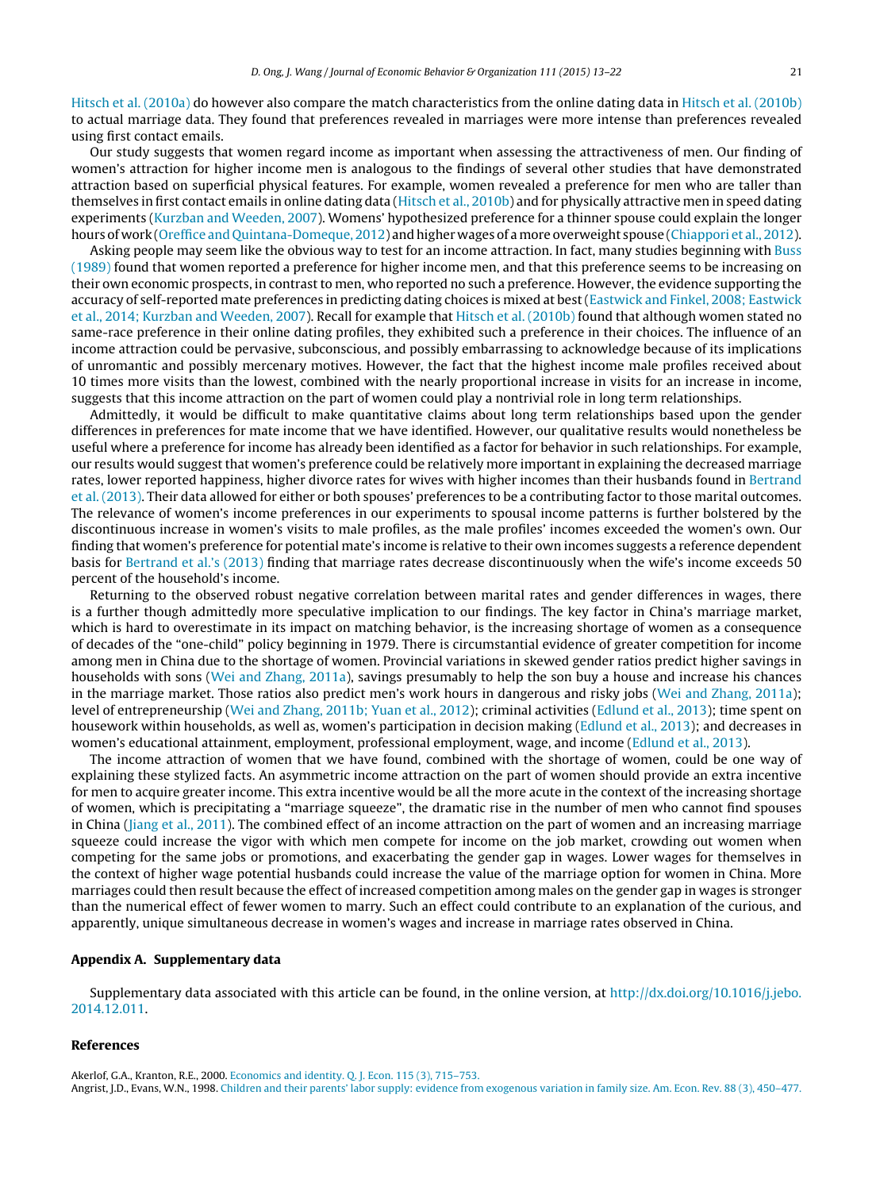<span id="page-8-0"></span>[Hitsch](#page-9-0) et [al.](#page-9-0) [\(2010a\)](#page-9-0) do however also compare the match characteristics from the online dating data in [Hitsch](#page-9-0) et [al.](#page-9-0) [\(2010b\)](#page-9-0) to actual marriage data. They found that preferences revealed in marriages were more intense than preferences revealed using first contact emails.

Our study suggests that women regard income as important when assessing the attractiveness of men. Our finding of women's attraction for higher income men is analogous to the findings of several other studies that have demonstrated attraction based on superficial physical features. For example, women revealed a preference for men who are taller than themselves in first contact emails in online dating data ([Hitsch](#page-9-0) et [al.,](#page-9-0) [2010b\)](#page-9-0) and for physically attractive men in speed dating experiments ([Kurzban](#page-9-0) [and](#page-9-0) [Weeden,](#page-9-0) [2007\).](#page-9-0) Womens' hypothesized preference for a thinner spouse could explain the longer hours of work ([Oreffice](#page-9-0) [and](#page-9-0) [Quintana-Domeque,](#page-9-0) [2012\)](#page-9-0) and higher wages of amore overweight spouse ([Chiappori](#page-9-0) et [al.,](#page-9-0) [2012\).](#page-9-0)

Asking people may seem like the obvious way to test for an income attraction. In fact, many studies beginning with [Buss](#page-9-0) [\(1989\)](#page-9-0) found that women reported a preference for higher income men, and that this preference seems to be increasing on their own economic prospects, in contrast to men, who reported no such a preference. However, the evidence supporting the accuracy of self-reported mate preferences in predicting dating choices is mixed at best([Eastwick](#page-9-0) [and](#page-9-0) [Finkel,](#page-9-0) [2008;](#page-9-0) [Eastwick](#page-9-0) et [al.,](#page-9-0) [2014;](#page-9-0) [Kurzban](#page-9-0) [and](#page-9-0) [Weeden,](#page-9-0) [2007\).](#page-9-0) Recall for example that [Hitsch](#page-9-0) et [al.](#page-9-0) [\(2010b\)](#page-9-0) found that although women stated no same-race preference in their online dating profiles, they exhibited such a preference in their choices. The influence of an income attraction could be pervasive, subconscious, and possibly embarrassing to acknowledge because of its implications of unromantic and possibly mercenary motives. However, the fact that the highest income male profiles received about 10 times more visits than the lowest, combined with the nearly proportional increase in visits for an increase in income, suggests that this income attraction on the part of women could play a nontrivial role in long term relationships.

Admittedly, it would be difficult to make quantitative claims about long term relationships based upon the gender differences in preferences for mate income that we have identified. However, our qualitative results would nonetheless be useful where a preference for income has already been identified as a factor for behavior in such relationships. For example, our results would suggest that women's preference could be relatively more important in explaining the decreased marriage rates, lower reported happiness, higher divorce rates for wives with higher incomes than their husbands found in [Bertrand](#page-9-0) et [al.](#page-9-0) [\(2013\).](#page-9-0) Their data allowed for either or both spouses' preferences to be a contributing factor to those marital outcomes. The relevance of women's income preferences in our experiments to spousal income patterns is further bolstered by the discontinuous increase in women's visits to male profiles, as the male profiles' incomes exceeded the women's own. Our finding that women's preference for potential mate's income is relative to their own incomes suggests a reference dependent basis for [Bertrand](#page-9-0) et [al.'s](#page-9-0) [\(2013\)](#page-9-0) finding that marriage rates decrease discontinuously when the wife's income exceeds 50 percent of the household's income.

Returning to the observed robust negative correlation between marital rates and gender differences in wages, there is a further though admittedly more speculative implication to our findings. The key factor in China's marriage market, which is hard to overestimate in its impact on matching behavior, is the increasing shortage of women as a consequence of decades of the "one-child" policy beginning in 1979. There is circumstantial evidence of greater competition for income among men in China due to the shortage of women. Provincial variations in skewed gender ratios predict higher savings in households with sons [\(Wei](#page-9-0) [and](#page-9-0) [Zhang,](#page-9-0) [2011a\),](#page-9-0) savings presumably to help the son buy a house and increase his chances in the marriage market. Those ratios also predict men's work hours in dangerous and risky jobs ([Wei](#page-9-0) [and](#page-9-0) [Zhang,](#page-9-0) [2011a\);](#page-9-0) level of entrepreneurship [\(Wei](#page-9-0) [and](#page-9-0) [Zhang,](#page-9-0) [2011b;](#page-9-0) [Yuan](#page-9-0) et [al.,](#page-9-0) [2012\);](#page-9-0) criminal activities [\(Edlund](#page-9-0) et [al.,](#page-9-0) [2013\);](#page-9-0) time spent on housework within households, as well as, women's participation in decision making ([Edlund](#page-9-0) et [al.,](#page-9-0) [2013\);](#page-9-0) and decreases in women's educational attainment, employment, professional employment, wage, and income [\(Edlund](#page-9-0) et [al.,](#page-9-0) [2013\).](#page-9-0)

The income attraction of women that we have found, combined with the shortage of women, could be one way of explaining these stylized facts. An asymmetric income attraction on the part of women should provide an extra incentive for men to acquire greater income. This extra incentive would be all the more acute in the context of the increasing shortage of women, which is precipitating a "marriage squeeze", the dramatic rise in the number of men who cannot find spouses in China ([Jiang](#page-9-0) et [al.,](#page-9-0) [2011\).](#page-9-0) The combined effect of an income attraction on the part of women and an increasing marriage squeeze could increase the vigor with which men compete for income on the job market, crowding out women when competing for the same jobs or promotions, and exacerbating the gender gap in wages. Lower wages for themselves in the context of higher wage potential husbands could increase the value of the marriage option for women in China. More marriages could then result because the effect of increased competition among males on the gender gap in wages is stronger than the numerical effect of fewer women to marry. Such an effect could contribute to an explanation of the curious, and apparently, unique simultaneous decrease in women's wages and increase in marriage rates observed in China.

#### Appendix A. Supplementary data

Supplementary data associated with this article can be found, in the online version, at  $http://dx.doi.org/10.1016/j.jebo.$ [2014.12.011](http://dx.doi.org/10.1016/j.jebo.2014.12.011).

#### References

Akerlof, G.A., Kranton, R.E., 2000. Economics and identity. Q. J. Econ. 115 (3), 715–753. Angrist, J.D., Evans, W.N., 1998. Children and their parents' labor supply: evidence from exogenous variation in family size. Am. Econ. Rev. 88 (3), 450–477.